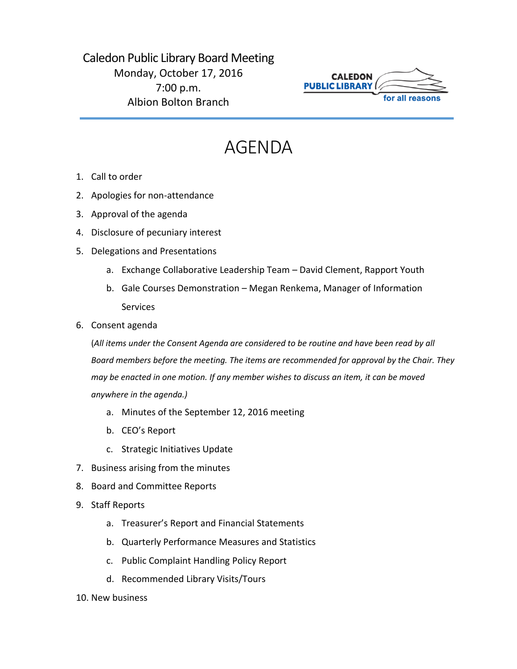## Caledon Public Library Board Meeting Monday, October 17, 2016 7:00 p.m. Albion Bolton Branch



## AGENDA

- 1. Call to order
- 2. Apologies for non-attendance
- 3. Approval of the agenda
- 4. Disclosure of pecuniary interest
- 5. Delegations and Presentations
	- a. Exchange Collaborative Leadership Team David Clement, Rapport Youth
	- b. Gale Courses Demonstration Megan Renkema, Manager of Information Services
- 6. Consent agenda

(*All items under the Consent Agenda are considered to be routine and have been read by all Board members before the meeting. The items are recommended for approval by the Chair. They may be enacted in one motion. If any member wishes to discuss an item, it can be moved anywhere in the agenda.)*

- a. Minutes of the September 12, 2016 meeting
- b. CEO's Report
- c. Strategic Initiatives Update
- 7. Business arising from the minutes
- 8. Board and Committee Reports
- 9. Staff Reports
	- a. Treasurer's Report and Financial Statements
	- b. Quarterly Performance Measures and Statistics
	- c. Public Complaint Handling Policy Report
	- d. Recommended Library Visits/Tours
- 10. New business